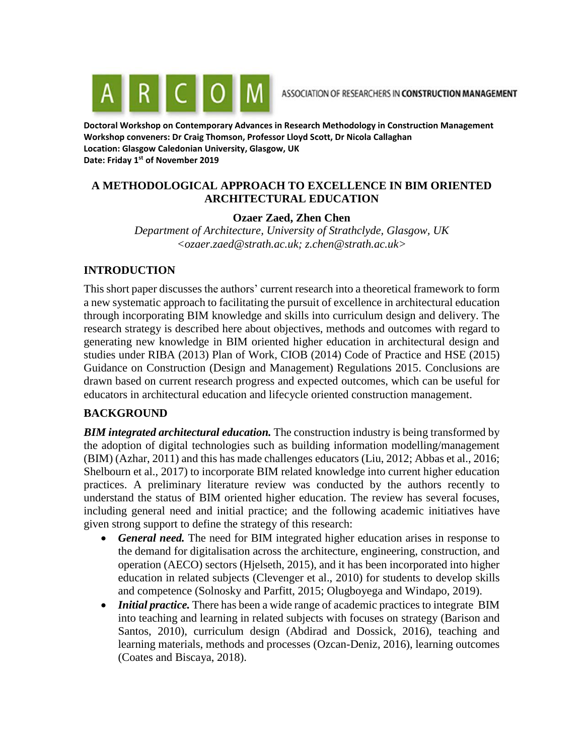

**Doctoral Workshop on Contemporary Advances in Research Methodology in Construction Management Workshop conveners: Dr Craig Thomson, Professor Lloyd Scott, Dr Nicola Callaghan Location: Glasgow Caledonian University, Glasgow, UK Date: Friday 1st of November 2019**

## **A METHODOLOGICAL APPROACH TO EXCELLENCE IN BIM ORIENTED ARCHITECTURAL EDUCATION**

## **Ozaer Zaed, Zhen Chen**

*Department of Architecture, University of Strathclyde, Glasgow, UK <ozaer.zaed@strath.ac.uk; z.chen@strath.ac.uk>*

### **INTRODUCTION**

This short paper discusses the authors' current research into a theoretical framework to form a new systematic approach to facilitating the pursuit of excellence in architectural education through incorporating BIM knowledge and skills into curriculum design and delivery. The research strategy is described here about objectives, methods and outcomes with regard to generating new knowledge in BIM oriented higher education in architectural design and studies under RIBA (2013) Plan of Work, CIOB (2014) Code of Practice and HSE (2015) Guidance on Construction (Design and Management) Regulations 2015. Conclusions are drawn based on current research progress and expected outcomes, which can be useful for educators in architectural education and lifecycle oriented construction management.

## **BACKGROUND**

*BIM integrated architectural education.* The construction industry is being transformed by the adoption of digital technologies such as building information modelling/management (BIM) (Azhar, 2011) and this has made challenges educators (Liu, 2012; Abbas et al., 2016; Shelbourn et al., 2017) to incorporate BIM related knowledge into current higher education practices. A preliminary literature review was conducted by the authors recently to understand the status of BIM oriented higher education. The review has several focuses, including general need and initial practice; and the following academic initiatives have given strong support to define the strategy of this research:

- *General need.* The need for BIM integrated higher education arises in response to the demand for digitalisation across the architecture, engineering, construction, and operation (AECO) sectors (Hjelseth, 2015), and it has been incorporated into higher education in related subjects (Clevenger et al., 2010) for students to develop skills and competence (Solnosky and Parfitt, 2015; Olugboyega and Windapo, 2019).
- *Initial practice.* There has been a wide range of academic practices to integrate BIM into teaching and learning in related subjects with focuses on strategy (Barison and Santos, 2010), curriculum design (Abdirad and Dossick, 2016), teaching and learning materials, methods and processes (Ozcan-Deniz, 2016), learning outcomes (Coates and Biscaya, 2018).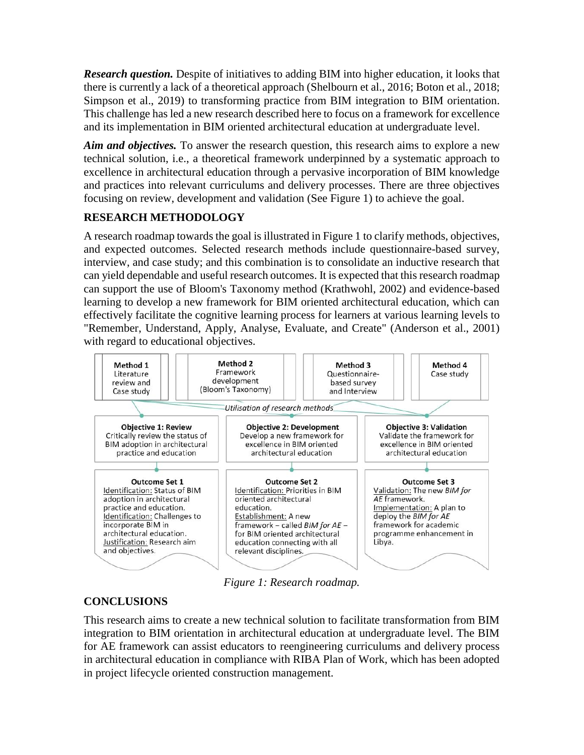*Research question.* Despite of initiatives to adding BIM into higher education, it looks that there is currently a lack of a theoretical approach (Shelbourn et al., 2016; Boton et al., 2018; Simpson et al., 2019) to transforming practice from BIM integration to BIM orientation. This challenge has led a new research described here to focus on a framework for excellence and its implementation in BIM oriented architectural education at undergraduate level.

*Aim and objectives.* To answer the research question, this research aims to explore a new technical solution, i.e., a theoretical framework underpinned by a systematic approach to excellence in architectural education through a pervasive incorporation of BIM knowledge and practices into relevant curriculums and delivery processes. There are three objectives focusing on review, development and validation (See Figure 1) to achieve the goal.

# **RESEARCH METHODOLOGY**

A research roadmap towards the goal is illustrated in Figure 1 to clarify methods, objectives, and expected outcomes. Selected research methods include questionnaire-based survey, interview, and case study; and this combination is to consolidate an inductive research that can yield dependable and useful research outcomes. It is expected that this research roadmap can support the use of Bloom's Taxonomy method (Krathwohl, 2002) and evidence-based learning to develop a new framework for BIM oriented architectural education, which can effectively facilitate the cognitive learning process for learners at various learning levels to "Remember, Understand, Apply, Analyse, Evaluate, and Create" (Anderson et al., 2001) with regard to educational objectives.



*Figure 1: Research roadmap.*

## **CONCLUSIONS**

This research aims to create a new technical solution to facilitate transformation from BIM integration to BIM orientation in architectural education at undergraduate level. The BIM for AE framework can assist educators to reengineering curriculums and delivery process in architectural education in compliance with RIBA Plan of Work, which has been adopted in project lifecycle oriented construction management.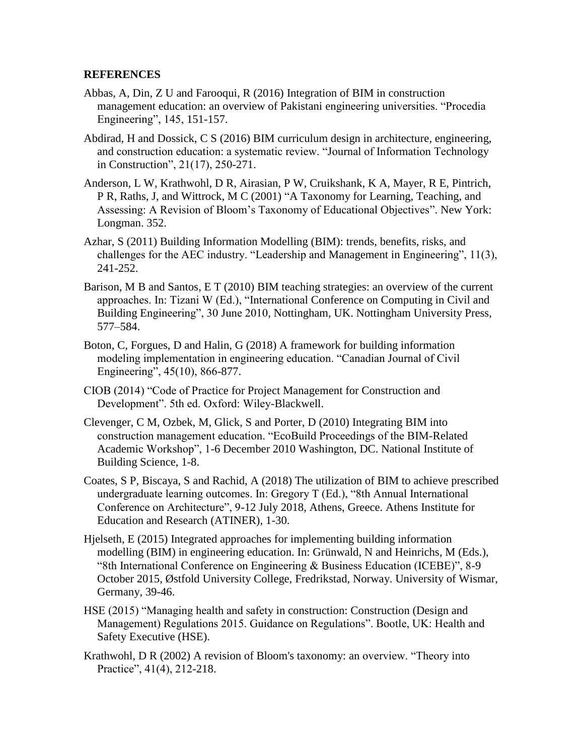#### **REFERENCES**

- Abbas, A, Din, Z U and Farooqui, R (2016) Integration of BIM in construction management education: an overview of Pakistani engineering universities. "Procedia Engineering", 145, 151-157.
- Abdirad, H and Dossick, C S (2016) BIM curriculum design in architecture, engineering, and construction education: a systematic review. "Journal of Information Technology in Construction", 21(17), 250-271.
- Anderson, L W, Krathwohl, D R, Airasian, P W, Cruikshank, K A, Mayer, R E, Pintrich, P R, Raths, J, and Wittrock, M C (2001) "A Taxonomy for Learning, Teaching, and Assessing: A Revision of Bloom's Taxonomy of Educational Objectives". New York: Longman. 352.
- Azhar, S (2011) Building Information Modelling (BIM): trends, benefits, risks, and challenges for the AEC industry. "Leadership and Management in Engineering", 11(3), 241-252.
- Barison, M B and Santos, E T (2010) BIM teaching strategies: an overview of the current approaches. In: Tizani W (Ed.), "International Conference on Computing in Civil and Building Engineering", 30 June 2010, Nottingham, UK. Nottingham University Press, 577–584.
- Boton, C, Forgues, D and Halin, G (2018) A framework for building information modeling implementation in engineering education. "Canadian Journal of Civil Engineering", 45(10), 866-877.
- CIOB (2014) "Code of Practice for Project Management for Construction and Development". 5th ed. Oxford: Wiley-Blackwell.
- Clevenger, C M, Ozbek, M, Glick, S and Porter, D (2010) Integrating BIM into construction management education. "EcoBuild Proceedings of the BIM-Related Academic Workshop", 1-6 December 2010 Washington, DC. National Institute of Building Science, 1-8.
- Coates, S P, Biscaya, S and Rachid, A (2018) The utilization of BIM to achieve prescribed undergraduate learning outcomes. In: Gregory T (Ed.), "8th Annual International Conference on Architecture", 9-12 July 2018, Athens, Greece. Athens Institute for Education and Research (ATINER), 1-30.
- Hjelseth, E (2015) Integrated approaches for implementing building information modelling (BIM) in engineering education. In: Grünwald, N and Heinrichs, M (Eds.), "8th International Conference on Engineering & Business Education (ICEBE)", 8-9 October 2015, Østfold University College, Fredrikstad, Norway. University of Wismar, Germany, 39-46.
- HSE (2015) "Managing health and safety in construction: Construction (Design and Management) Regulations 2015. Guidance on Regulations". Bootle, UK: Health and Safety Executive (HSE).
- Krathwohl, D R (2002) A revision of Bloom's taxonomy: an overview. "Theory into Practice", 41(4), 212-218.